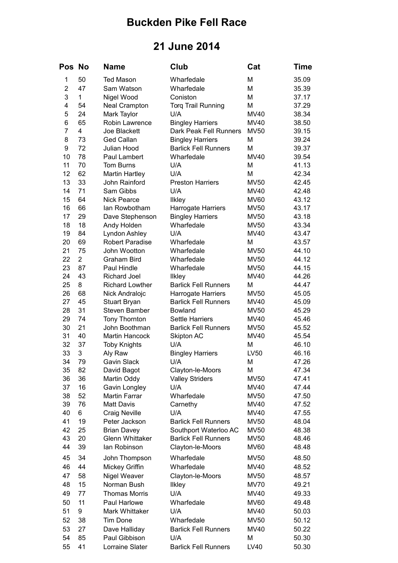## **Buckden Pike Fell Race**

## **21 June 2014**

| Pos            | <b>No</b>      | <b>Name</b>                             | Club                                                 | Cat                        | Time           |
|----------------|----------------|-----------------------------------------|------------------------------------------------------|----------------------------|----------------|
| 1              | 50             | <b>Ted Mason</b>                        | Wharfedale                                           | M                          | 35.09          |
| $\overline{2}$ | 47             | Sam Watson                              | Wharfedale                                           | M                          | 35.39          |
| 3              | 1              | Nigel Wood                              | Coniston                                             | M                          | 37.17          |
| 4              | 54             | <b>Neal Crampton</b>                    | <b>Torq Trail Running</b>                            | M                          | 37.29          |
| 5              | 24             | Mark Taylor                             | U/A                                                  | <b>MV40</b>                | 38.34          |
| 6              | 65             | Robin Lawrence                          | <b>Bingley Harriers</b>                              | <b>MV40</b>                | 38.50          |
| 7              | 4              | Joe Blackett                            | Dark Peak Fell Runners                               | <b>MV50</b>                | 39.15          |
| 8              | 73             | <b>Ged Callan</b>                       | <b>Bingley Harriers</b>                              | M                          | 39.24          |
| 9              | 72             | Julian Hood                             | <b>Barlick Fell Runners</b>                          | M                          | 39.37          |
| 10             | 78             | Paul Lambert                            | Wharfedale                                           | <b>MV40</b>                | 39.54          |
| 11             | 70             | <b>Tom Burns</b>                        | U/A                                                  | M                          | 41.13          |
| 12             | 62             | <b>Martin Hartley</b>                   | U/A                                                  | M                          | 42.34          |
| 13             | 33             | John Rainford                           | <b>Preston Harriers</b>                              | <b>MV50</b>                | 42.45          |
| 14             | 71             | Sam Gibbs                               | U/A                                                  | <b>MV40</b>                | 42.48          |
| 15             | 64             | <b>Nick Pearce</b>                      | <b>Ilkley</b>                                        | <b>MV60</b>                | 43.12          |
| 16             | 66             | lan Rowbotham                           | Harrogate Harriers                                   | <b>MV50</b>                | 43.17          |
| 17<br>18       | 29<br>18       | Dave Stephenson                         | <b>Bingley Harriers</b><br>Wharfedale                | <b>MV50</b>                | 43.18          |
| 19             | 84             | Andy Holden                             | U/A                                                  | <b>MV50</b><br>MV40        | 43.34<br>43.47 |
| 20             | 69             | Lyndon Ashley<br><b>Robert Paradise</b> | Wharfedale                                           | M                          | 43.57          |
| 21             | 75             | John Wootton                            | Wharfedale                                           | <b>MV50</b>                | 44.10          |
| 22             | $\overline{2}$ | Graham Bird                             | Wharfedale                                           | <b>MV50</b>                | 44.12          |
| 23             | 87             | Paul Hindle                             | Wharfedale                                           | <b>MV50</b>                | 44.15          |
| 24             | 43             | <b>Richard Joel</b>                     | <b>Ilkley</b>                                        | MV40                       | 44.26          |
| 25             | 8              | <b>Richard Lowther</b>                  | <b>Barlick Fell Runners</b>                          | М                          | 44.47          |
| 26             | 68             | Nick Andralojc                          | Harrogate Harriers                                   | <b>MV50</b>                | 45.05          |
| 27             | 45             | <b>Stuart Bryan</b>                     | <b>Barlick Fell Runners</b>                          | <b>MV40</b>                | 45.09          |
| 28             | 31             | <b>Steven Bamber</b>                    | Bowland                                              | <b>MV50</b>                | 45.29          |
| 29             | 74             | <b>Tony Thornton</b>                    | <b>Settle Harriers</b>                               | <b>MV40</b>                | 45.46          |
| 30             | 21             | John Boothman                           | <b>Barlick Fell Runners</b>                          | <b>MV50</b>                | 45.52          |
| 31             | 40             | Martin Hancock                          | Skipton AC                                           | <b>MV40</b>                | 45.54          |
| 32             | 37             | <b>Toby Knights</b>                     | U/A                                                  | M                          | 46.10          |
| 33             | 3              | Aly Raw                                 | <b>Bingley Harriers</b>                              | LV50                       | 46.16          |
| 34             | 79             | Gavin Slack                             | U/A                                                  | M                          | 47.26          |
| 35             | 82             | David Bagot                             | Clayton-le-Moors                                     | M                          | 47.34          |
| 36             | 36             | Martin Oddy                             | <b>Valley Striders</b>                               | <b>MV50</b>                | 47.41          |
| 37             | 16             | Gavin Longley                           | U/A                                                  | MV40                       | 47.44          |
| 38             | 52             | <b>Martin Farrar</b>                    | Wharfedale                                           | <b>MV50</b>                | 47.50          |
| 39             | 76             | <b>Matt Davis</b>                       | Carnethy                                             | MV40                       | 47.52          |
| 40             | 6              | <b>Craig Neville</b>                    | U/A                                                  | MV40                       | 47.55          |
| 41             | 19             | Peter Jackson                           | <b>Barlick Fell Runners</b>                          | <b>MV50</b>                | 48.04          |
| 42<br>43       | 25<br>20       | <b>Brian Davey</b><br>Glenn Whittaker   | Southport Waterloo AC<br><b>Barlick Fell Runners</b> | <b>MV50</b>                | 48.38          |
| 44             | 39             | lan Robinson                            | Clayton-le-Moors                                     | <b>MV50</b><br><b>MV60</b> | 48.46<br>48.48 |
|                |                |                                         |                                                      |                            |                |
| 45             | 34             | John Thompson                           | Wharfedale                                           | <b>MV50</b>                | 48.50          |
| 46             | 44             | Mickey Griffin                          | Wharfedale                                           | <b>MV40</b>                | 48.52          |
| 47             | 58             | Nigel Weaver                            | Clayton-le-Moors                                     | <b>MV50</b>                | 48.57          |
| 48             | 15             | Norman Bush                             | <b>Ilkley</b>                                        | <b>MV70</b>                | 49.21          |
| 49             | 77             | <b>Thomas Morris</b>                    | U/A                                                  | MV40                       | 49.33          |
| 50             | 11             | Paul Harlowe                            | Wharfedale                                           | <b>MV60</b>                | 49.48          |
| 51             | 9              | Mark Whittaker                          | U/A                                                  | <b>MV40</b>                | 50.03          |
| 52             | 38             | <b>Tim Done</b>                         | Wharfedale                                           | <b>MV50</b>                | 50.12          |
| 53             | 27             | Dave Halliday                           | <b>Barlick Fell Runners</b>                          | <b>MV40</b>                | 50.22          |
| 54             | 85             | Paul Gibbison                           | U/A                                                  | M                          | 50.30          |
| 55             | 41             | Lorraine Slater                         | <b>Barlick Fell Runners</b>                          | LV40                       | 50.30          |